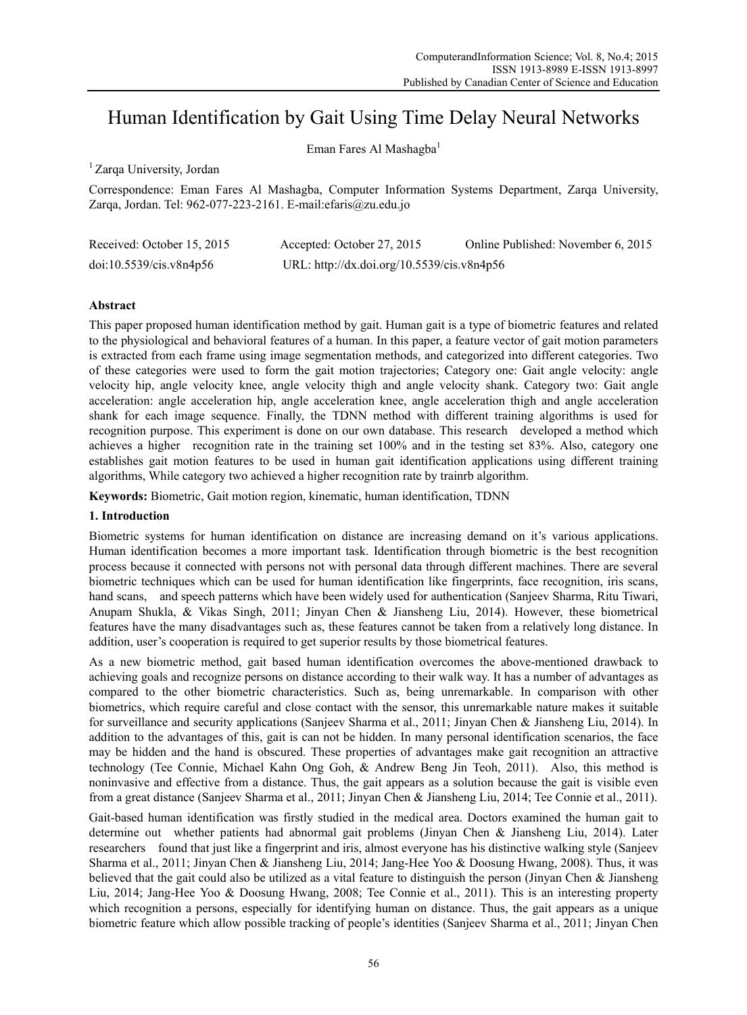# Human Identification by Gait Using Time Delay Neural Networks

Eman Fares Al Mashagba<sup>1</sup>

<sup>1</sup> Zarqa University, Jordan

Correspondence: Eman Fares Al Mashagba, Computer Information Systems Department, Zarqa University, Zarqa, Jordan. Tel: 962-077-223-2161. E-mail:efaris@zu.edu.jo

| Received: October 15, 2015 | Accepted: October 27, 2015                 | Online Published: November 6, 2015 |
|----------------------------|--------------------------------------------|------------------------------------|
| doi:10.5539/cis.v8n4p56    | URL: http://dx.doi.org/10.5539/cis.v8n4p56 |                                    |

# **Abstract**

This paper proposed human identification method by gait. Human gait is a type of biometric features and related to the physiological and behavioral features of a human. In this paper, a feature vector of gait motion parameters is extracted from each frame using image segmentation methods, and categorized into different categories. Two of these categories were used to form the gait motion trajectories; Category one: Gait angle velocity: angle velocity hip, angle velocity knee, angle velocity thigh and angle velocity shank. Category two: Gait angle acceleration: angle acceleration hip, angle acceleration knee, angle acceleration thigh and angle acceleration shank for each image sequence. Finally, the TDNN method with different training algorithms is used for recognition purpose. This experiment is done on our own database. This research developed a method which achieves a higher recognition rate in the training set 100% and in the testing set 83%. Also, category one establishes gait motion features to be used in human gait identification applications using different training algorithms, While category two achieved a higher recognition rate by trainrb algorithm.

**Keywords:** Biometric, Gait motion region, kinematic, human identification, TDNN

# **1. Introduction**

Biometric systems for human identification on distance are increasing demand on it's various applications. Human identification becomes a more important task. Identification through biometric is the best recognition process because it connected with persons not with personal data through different machines. There are several biometric techniques which can be used for human identification like fingerprints, face recognition, iris scans, hand scans, and speech patterns which have been widely used for authentication (Sanjeev Sharma, Ritu Tiwari, Anupam Shukla, & Vikas Singh, 2011; Jinyan Chen & Jiansheng Liu, 2014). However, these biometrical features have the many disadvantages such as, these features cannot be taken from a relatively long distance. In addition, user's cooperation is required to get superior results by those biometrical features.

As a new biometric method, gait based human identification overcomes the above-mentioned drawback to achieving goals and recognize persons on distance according to their walk way. It has a number of advantages as compared to the other biometric characteristics. Such as, being unremarkable. In comparison with other biometrics, which require careful and close contact with the sensor, this unremarkable nature makes it suitable for surveillance and security applications (Sanjeev Sharma et al., 2011; Jinyan Chen & Jiansheng Liu, 2014). In addition to the advantages of this, gait is can not be hidden. In many personal identification scenarios, the face may be hidden and the hand is obscured. These properties of advantages make gait recognition an attractive technology (Tee Connie, Michael Kahn Ong Goh, & Andrew Beng Jin Teoh, 2011). Also, this method is noninvasive and effective from a distance. Thus, the gait appears as a solution because the gait is visible even from a great distance (Sanjeev Sharma et al., 2011; Jinyan Chen & Jiansheng Liu, 2014; Tee Connie et al., 2011).

Gait-based human identification was firstly studied in the medical area. Doctors examined the human gait to determine out whether patients had abnormal gait problems (Jinyan Chen & Jiansheng Liu, 2014). Later researchers found that just like a fingerprint and iris, almost everyone has his distinctive walking style (Sanjeev Sharma et al., 2011; Jinyan Chen & Jiansheng Liu, 2014; Jang-Hee Yoo & Doosung Hwang, 2008). Thus, it was believed that the gait could also be utilized as a vital feature to distinguish the person (Jinyan Chen & Jiansheng Liu, 2014; Jang-Hee Yoo & Doosung Hwang, 2008; Tee Connie et al., 2011). This is an interesting property which recognition a persons, especially for identifying human on distance. Thus, the gait appears as a unique biometric feature which allow possible tracking of people's identities (Sanjeev Sharma et al., 2011; Jinyan Chen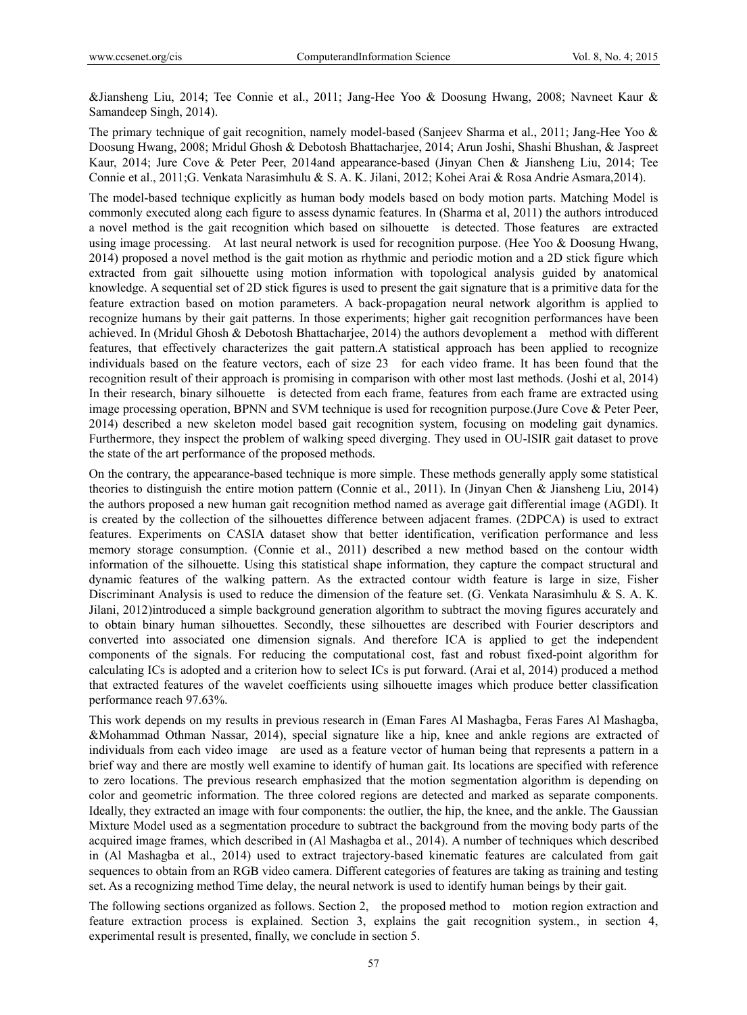&Jiansheng Liu, 2014; Tee Connie et al., 2011; Jang-Hee Yoo & Doosung Hwang, 2008; Navneet Kaur & Samandeep Singh, 2014).

The primary technique of gait recognition, namely model-based (Sanjeev Sharma et al., 2011; Jang-Hee Yoo & Doosung Hwang, 2008; Mridul Ghosh & Debotosh Bhattacharjee, 2014; Arun Joshi, Shashi Bhushan, & Jaspreet Kaur, 2014; Jure Cove & Peter Peer, 2014and appearance-based (Jinyan Chen & Jiansheng Liu, 2014; Tee Connie et al., 2011;G. Venkata Narasimhulu & S. A. K. Jilani, 2012; Kohei Arai & Rosa Andrie Asmara,2014).

The model-based technique explicitly as human body models based on body motion parts. Matching Model is commonly executed along each figure to assess dynamic features. In (Sharma et al, 2011) the authors introduced a novel method is the gait recognition which based on silhouette is detected. Those features are extracted using image processing. At last neural network is used for recognition purpose. (Hee Yoo & Doosung Hwang, 2014) proposed a novel method is the gait motion as rhythmic and periodic motion and a 2D stick figure which extracted from gait silhouette using motion information with topological analysis guided by anatomical knowledge. A sequential set of 2D stick figures is used to present the gait signature that is a primitive data for the feature extraction based on motion parameters. A back-propagation neural network algorithm is applied to recognize humans by their gait patterns. In those experiments; higher gait recognition performances have been achieved. In (Mridul Ghosh & Debotosh Bhattacharjee, 2014) the authors devoplement a method with different features, that effectively characterizes the gait pattern.A statistical approach has been applied to recognize individuals based on the feature vectors, each of size 23 for each video frame. It has been found that the recognition result of their approach is promising in comparison with other most last methods. (Joshi et al, 2014) In their research, binary silhouette is detected from each frame, features from each frame are extracted using image processing operation, BPNN and SVM technique is used for recognition purpose.(Jure Cove & Peter Peer, 2014) described a new skeleton model based gait recognition system, focusing on modeling gait dynamics. Furthermore, they inspect the problem of walking speed diverging. They used in OU-ISIR gait dataset to prove the state of the art performance of the proposed methods.

On the contrary, the appearance-based technique is more simple. These methods generally apply some statistical theories to distinguish the entire motion pattern (Connie et al., 2011). In (Jinyan Chen & Jiansheng Liu, 2014) the authors proposed a new human gait recognition method named as average gait differential image (AGDI). It is created by the collection of the silhouettes difference between adjacent frames. (2DPCA) is used to extract features. Experiments on CASIA dataset show that better identification, verification performance and less memory storage consumption. (Connie et al., 2011) described a new method based on the contour width information of the silhouette. Using this statistical shape information, they capture the compact structural and dynamic features of the walking pattern. As the extracted contour width feature is large in size, Fisher Discriminant Analysis is used to reduce the dimension of the feature set. (G. Venkata Narasimhulu & S. A. K. Jilani, 2012)introduced a simple background generation algorithm to subtract the moving figures accurately and to obtain binary human silhouettes. Secondly, these silhouettes are described with Fourier descriptors and converted into associated one dimension signals. And therefore ICA is applied to get the independent components of the signals. For reducing the computational cost, fast and robust fixed-point algorithm for calculating ICs is adopted and a criterion how to select ICs is put forward. (Arai et al, 2014) produced a method that extracted features of the wavelet coefficients using silhouette images which produce better classification performance reach 97.63%.

This work depends on my results in previous research in (Eman Fares Al Mashagba, Feras Fares Al Mashagba, &Mohammad Othman Nassar, 2014), special signature like a hip, knee and ankle regions are extracted of individuals from each video image are used as a feature vector of human being that represents a pattern in a brief way and there are mostly well examine to identify of human gait. Its locations are specified with reference to zero locations. The previous research emphasized that the motion segmentation algorithm is depending on color and geometric information. The three colored regions are detected and marked as separate components. Ideally, they extracted an image with four components: the outlier, the hip, the knee, and the ankle. The Gaussian Mixture Model used as a segmentation procedure to subtract the background from the moving body parts of the acquired image frames, which described in (Al Mashagba et al., 2014). A number of techniques which described in (Al Mashagba et al., 2014) used to extract trajectory-based kinematic features are calculated from gait sequences to obtain from an RGB video camera. Different categories of features are taking as training and testing set. As a recognizing method Time delay, the neural network is used to identify human beings by their gait.

The following sections organized as follows. Section 2, the proposed method to motion region extraction and feature extraction process is explained. Section 3, explains the gait recognition system., in section 4, experimental result is presented, finally, we conclude in section 5.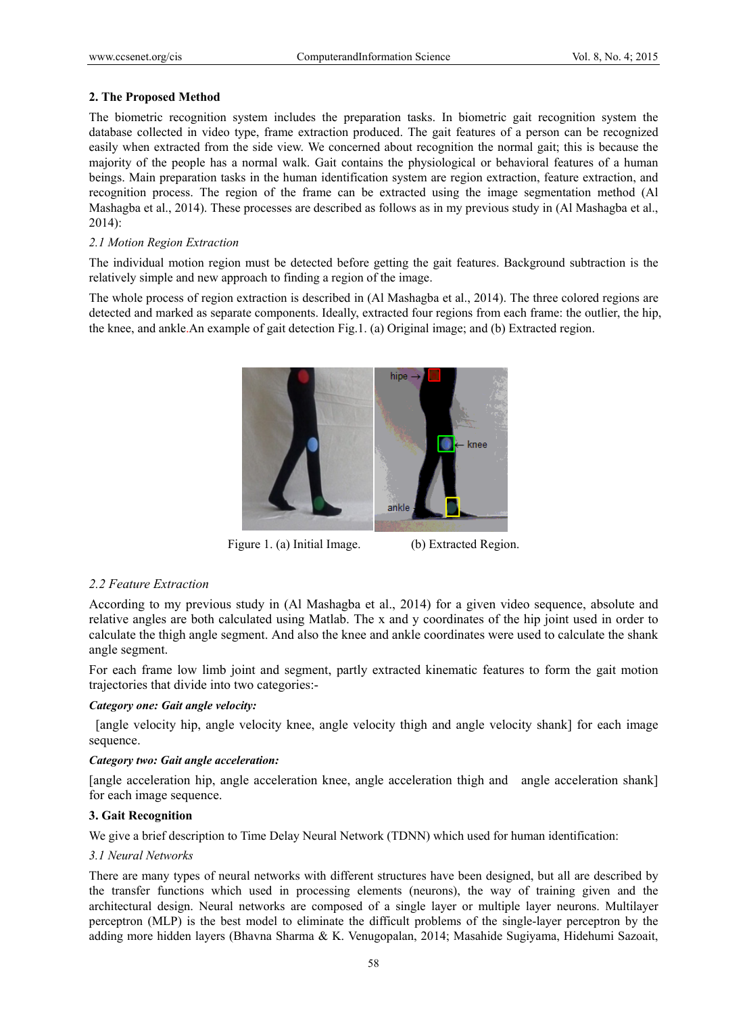# **2. The Proposed Method**

The biometric recognition system includes the preparation tasks. In biometric gait recognition system the database collected in video type, frame extraction produced. The gait features of a person can be recognized easily when extracted from the side view. We concerned about recognition the normal gait; this is because the majority of the people has a normal walk. Gait contains the physiological or behavioral features of a human beings. Main preparation tasks in the human identification system are region extraction, feature extraction, and recognition process. The region of the frame can be extracted using the image segmentation method (Al Mashagba et al., 2014). These processes are described as follows as in my previous study in (Al Mashagba et al., 2014):

# *2.1 Motion Region Extraction*

The individual motion region must be detected before getting the gait features. Background subtraction is the relatively simple and new approach to finding a region of the image.

The whole process of region extraction is described in (Al Mashagba et al., 2014). The three colored regions are detected and marked as separate components. Ideally, extracted four regions from each frame: the outlier, the hip, the knee, and ankle.An example of gait detection Fig.1. (a) Original image; and (b) Extracted region.



Figure 1. (a) Initial Image. (b) Extracted Region.

# *2.2 Feature Extraction*

According to my previous study in (Al Mashagba et al., 2014) for a given video sequence, absolute and relative angles are both calculated using Matlab. The x and y coordinates of the hip joint used in order to calculate the thigh angle segment. And also the knee and ankle coordinates were used to calculate the shank angle segment.

For each frame low limb joint and segment, partly extracted kinematic features to form the gait motion trajectories that divide into two categories:-

#### *Category one: Gait angle velocity:*

 [angle velocity hip, angle velocity knee, angle velocity thigh and angle velocity shank] for each image sequence.

#### *Category two: Gait angle acceleration:*

[angle acceleration hip, angle acceleration knee, angle acceleration thigh and angle acceleration shank] for each image sequence.

#### **3. Gait Recognition**

We give a brief description to Time Delay Neural Network (TDNN) which used for human identification:

#### *3.1 Neural Networks*

There are many types of neural networks with different structures have been designed, but all are described by the transfer functions which used in processing elements (neurons), the way of training given and the architectural design. Neural networks are composed of a single layer or multiple layer neurons. Multilayer perceptron (MLP) is the best model to eliminate the difficult problems of the single-layer perceptron by the adding more hidden layers (Bhavna Sharma & K. Venugopalan, 2014; Masahide Sugiyama, Hidehumi Sazoait,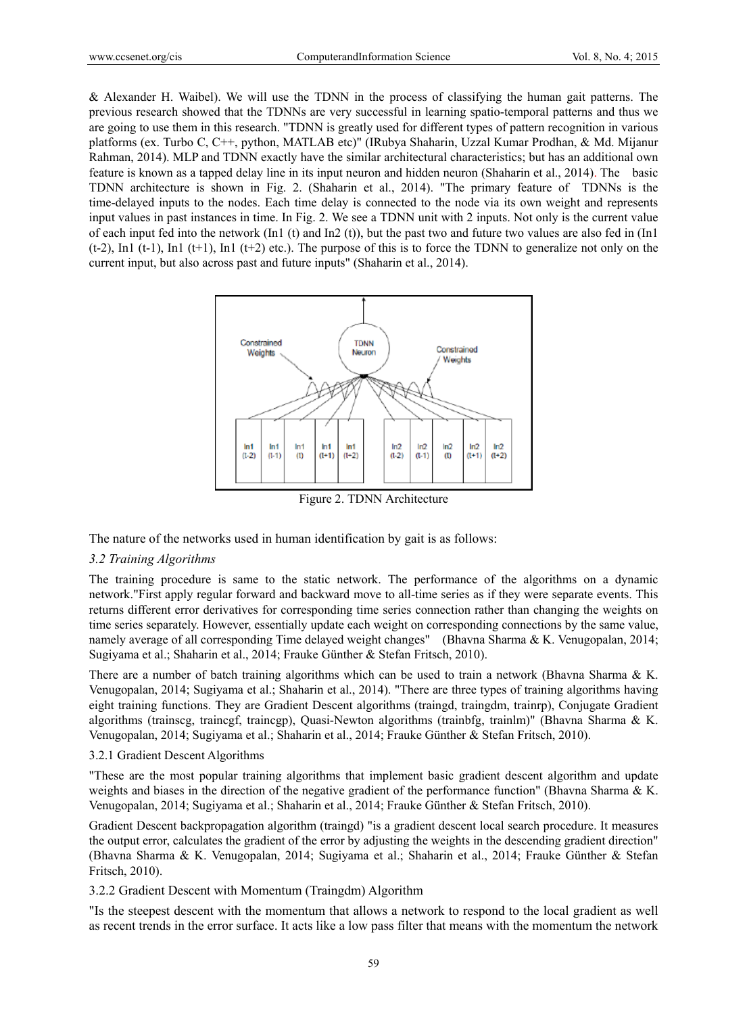& Alexander H. Waibel). We will use the TDNN in the process of classifying the human gait patterns. The previous research showed that the TDNNs are very successful in learning spatio-temporal patterns and thus we are going to use them in this research. "TDNN is greatly used for different types of pattern recognition in various platforms (ex. Turbo C, C++, python, MATLAB etc)" (IRubya Shaharin, Uzzal Kumar Prodhan, & Md. Mijanur Rahman, 2014). MLP and TDNN exactly have the similar architectural characteristics; but has an additional own feature is known as a tapped delay line in its input neuron and hidden neuron (Shaharin et al., 2014). The basic TDNN architecture is shown in Fig. 2. (Shaharin et al., 2014). "The primary feature of TDNNs is the time-delayed inputs to the nodes. Each time delay is connected to the node via its own weight and represents input values in past instances in time. In Fig. 2. We see a TDNN unit with 2 inputs. Not only is the current value of each input fed into the network  $(In1 (t)$  and  $In2 (t))$ , but the past two and future two values are also fed in  $(In1$  $(t-2)$ , In1  $(t-1)$ , In1  $(t+1)$ , In1  $(t+2)$  etc.). The purpose of this is to force the TDNN to generalize not only on the current input, but also across past and future inputs" (Shaharin et al., 2014).



Figure 2. TDNN Architecture

The nature of the networks used in human identification by gait is as follows:

### *3.2 Training Algorithms*

The training procedure is same to the static network. The performance of the algorithms on a dynamic network."First apply regular forward and backward move to all-time series as if they were separate events. This returns different error derivatives for corresponding time series connection rather than changing the weights on time series separately. However, essentially update each weight on corresponding connections by the same value, namely average of all corresponding Time delayed weight changes" (Bhavna Sharma & K. Venugopalan, 2014; Sugiyama et al.; Shaharin et al., 2014; Frauke Günther & Stefan Fritsch, 2010).

There are a number of batch training algorithms which can be used to train a network (Bhavna Sharma & K. Venugopalan, 2014; Sugiyama et al.; Shaharin et al., 2014). "There are three types of training algorithms having eight training functions. They are Gradient Descent algorithms (traingd, traingdm, trainrp), Conjugate Gradient algorithms (trainscg, traincgf, traincgp), Quasi-Newton algorithms (trainbfg, trainlm)" (Bhavna Sharma & K. Venugopalan, 2014; Sugiyama et al.; Shaharin et al., 2014; Frauke Günther & Stefan Fritsch, 2010).

#### 3.2.1 Gradient Descent Algorithms

"These are the most popular training algorithms that implement basic gradient descent algorithm and update weights and biases in the direction of the negative gradient of the performance function" (Bhavna Sharma & K. Venugopalan, 2014; Sugiyama et al.; Shaharin et al., 2014; Frauke Günther & Stefan Fritsch, 2010).

Gradient Descent backpropagation algorithm (traingd) "is a gradient descent local search procedure. It measures the output error, calculates the gradient of the error by adjusting the weights in the descending gradient direction" (Bhavna Sharma & K. Venugopalan, 2014; Sugiyama et al.; Shaharin et al., 2014; Frauke Günther & Stefan Fritsch, 2010).

# 3.2.2 Gradient Descent with Momentum (Traingdm) Algorithm

"Is the steepest descent with the momentum that allows a network to respond to the local gradient as well as recent trends in the error surface. It acts like a low pass filter that means with the momentum the network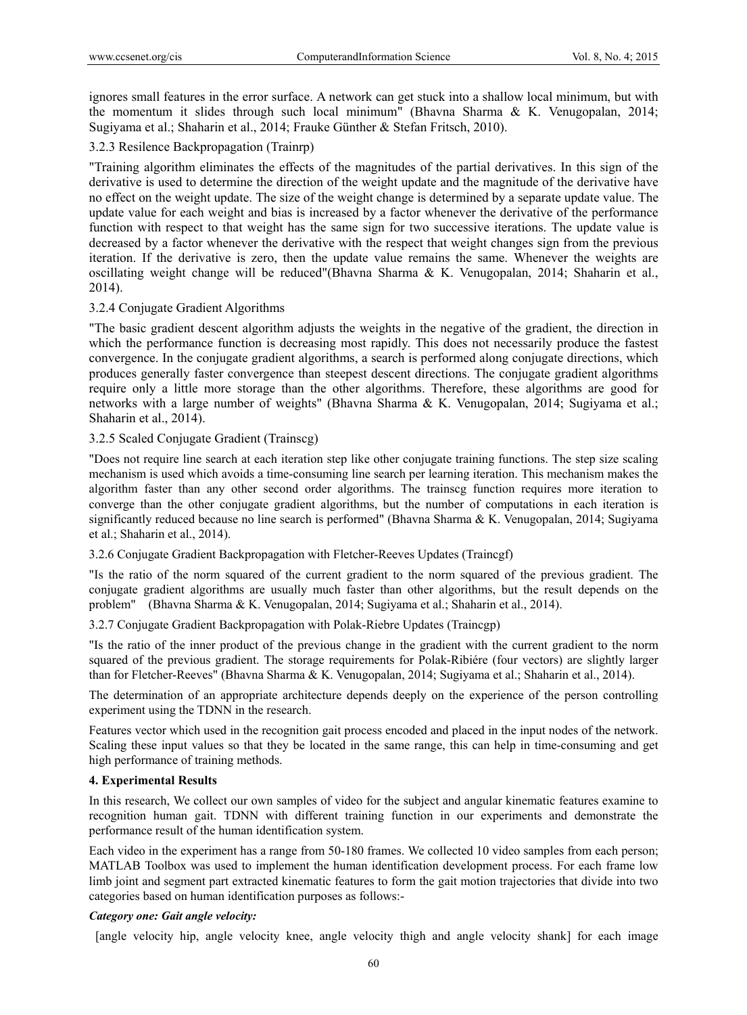ignores small features in the error surface. A network can get stuck into a shallow local minimum, but with the momentum it slides through such local minimum" (Bhavna Sharma & K. Venugopalan, 2014; Sugiyama et al.; Shaharin et al., 2014; Frauke Günther & Stefan Fritsch, 2010).

# 3.2.3 Resilence Backpropagation (Trainrp)

"Training algorithm eliminates the effects of the magnitudes of the partial derivatives. In this sign of the derivative is used to determine the direction of the weight update and the magnitude of the derivative have no effect on the weight update. The size of the weight change is determined by a separate update value. The update value for each weight and bias is increased by a factor whenever the derivative of the performance function with respect to that weight has the same sign for two successive iterations. The update value is decreased by a factor whenever the derivative with the respect that weight changes sign from the previous iteration. If the derivative is zero, then the update value remains the same. Whenever the weights are oscillating weight change will be reduced"(Bhavna Sharma & K. Venugopalan, 2014; Shaharin et al., 2014).

# 3.2.4 Conjugate Gradient Algorithms

"The basic gradient descent algorithm adjusts the weights in the negative of the gradient, the direction in which the performance function is decreasing most rapidly. This does not necessarily produce the fastest convergence. In the conjugate gradient algorithms, a search is performed along conjugate directions, which produces generally faster convergence than steepest descent directions. The conjugate gradient algorithms require only a little more storage than the other algorithms. Therefore, these algorithms are good for networks with a large number of weights" (Bhavna Sharma & K. Venugopalan, 2014; Sugiyama et al.; Shaharin et al., 2014).

# 3.2.5 Scaled Conjugate Gradient (Trainscg)

"Does not require line search at each iteration step like other conjugate training functions. The step size scaling mechanism is used which avoids a time-consuming line search per learning iteration. This mechanism makes the algorithm faster than any other second order algorithms. The trainscg function requires more iteration to converge than the other conjugate gradient algorithms, but the number of computations in each iteration is significantly reduced because no line search is performed" (Bhavna Sharma & K. Venugopalan, 2014; Sugiyama et al.; Shaharin et al., 2014).

3.2.6 Conjugate Gradient Backpropagation with Fletcher-Reeves Updates (Traincgf)

"Is the ratio of the norm squared of the current gradient to the norm squared of the previous gradient. The conjugate gradient algorithms are usually much faster than other algorithms, but the result depends on the problem" (Bhavna Sharma & K. Venugopalan, 2014; Sugiyama et al.; Shaharin et al., 2014).

3.2.7 Conjugate Gradient Backpropagation with Polak-Riebre Updates (Traincgp)

"Is the ratio of the inner product of the previous change in the gradient with the current gradient to the norm squared of the previous gradient. The storage requirements for Polak-Ribiére (four vectors) are slightly larger than for Fletcher-Reeves" (Bhavna Sharma & K. Venugopalan, 2014; Sugiyama et al.; Shaharin et al., 2014).

The determination of an appropriate architecture depends deeply on the experience of the person controlling experiment using the TDNN in the research.

Features vector which used in the recognition gait process encoded and placed in the input nodes of the network. Scaling these input values so that they be located in the same range, this can help in time-consuming and get high performance of training methods.

# **4. Experimental Results**

In this research, We collect our own samples of video for the subject and angular kinematic features examine to recognition human gait. TDNN with different training function in our experiments and demonstrate the performance result of the human identification system.

Each video in the experiment has a range from 50-180 frames. We collected 10 video samples from each person; MATLAB Toolbox was used to implement the human identification development process. For each frame low limb joint and segment part extracted kinematic features to form the gait motion trajectories that divide into two categories based on human identification purposes as follows:-

#### *Category one: Gait angle velocity:*

[angle velocity hip, angle velocity knee, angle velocity thigh and angle velocity shank] for each image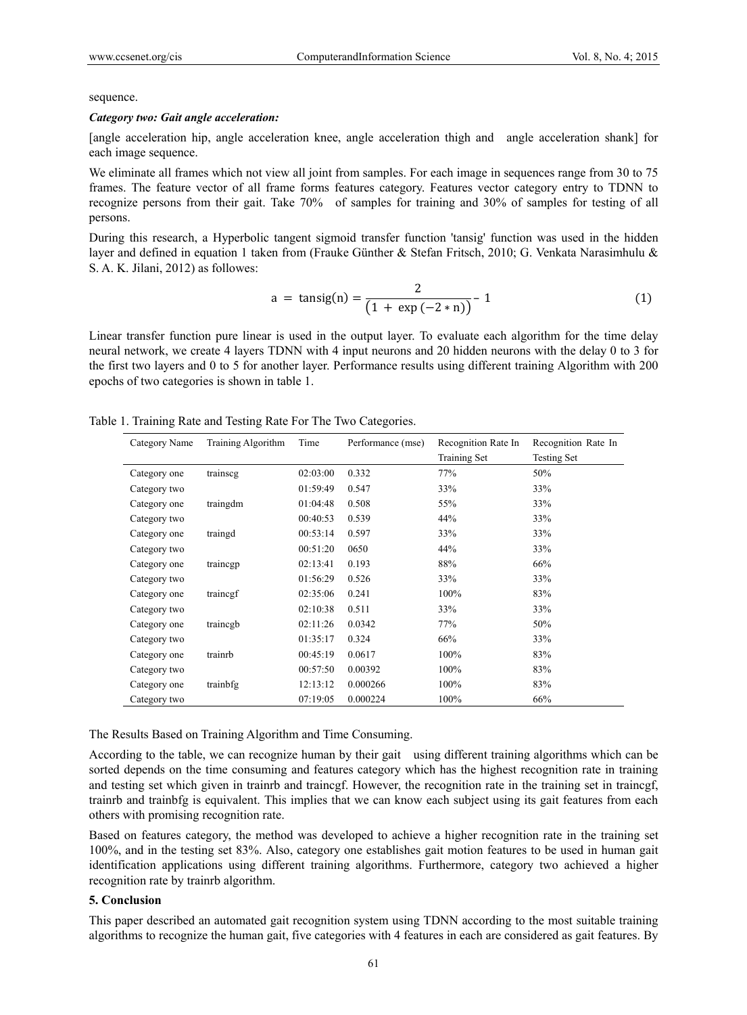#### sequence.

#### *Category two: Gait angle acceleration:*

[angle acceleration hip, angle acceleration knee, angle acceleration thigh and angle acceleration shank] for each image sequence.

We eliminate all frames which not view all joint from samples. For each image in sequences range from 30 to 75 frames. The feature vector of all frame forms features category. Features vector category entry to TDNN to recognize persons from their gait. Take 70% of samples for training and 30% of samples for testing of all persons.

During this research, a Hyperbolic tangent sigmoid transfer function 'tansig' function was used in the hidden layer and defined in equation 1 taken from (Frauke Günther & Stefan Fritsch, 2010; G. Venkata Narasimhulu & S. A. K. Jilani, 2012) as followes:

$$
a = \tanh(n) = \frac{2}{(1 + \exp(-2 * n))} - 1 \tag{1}
$$

Linear transfer function pure linear is used in the output layer. To evaluate each algorithm for the time delay neural network, we create 4 layers TDNN with 4 input neurons and 20 hidden neurons with the delay 0 to 3 for the first two layers and 0 to 5 for another layer. Performance results using different training Algorithm with 200 epochs of two categories is shown in table 1.

|  | Table 1. Training Rate and Testing Rate For The Two Categories. |  |
|--|-----------------------------------------------------------------|--|
|  |                                                                 |  |

| Category Name | Training Algorithm | Time     | Performance (mse) | Recognition Rate In | Recognition Rate In |
|---------------|--------------------|----------|-------------------|---------------------|---------------------|
|               |                    |          |                   | Training Set        | <b>Testing Set</b>  |
| Category one  | trainscg           | 02:03:00 | 0.332             | 77%                 | 50%                 |
| Category two  |                    | 01:59:49 | 0.547             | 33%                 | 33%                 |
| Category one  | traingdm           | 01:04:48 | 0.508             | 55%                 | 33%                 |
| Category two  |                    | 00:40:53 | 0.539             | 44%                 | 33%                 |
| Category one  | traingd            | 00:53:14 | 0.597             | 33%                 | 33%                 |
| Category two  |                    | 00:51:20 | 0650              | 44%                 | 33%                 |
| Category one  | traincgp           | 02:13:41 | 0.193             | 88%                 | 66%                 |
| Category two  |                    | 01:56:29 | 0.526             | 33%                 | 33%                 |
| Category one  | trainegf           | 02:35:06 | 0.241             | 100%                | 83%                 |
| Category two  |                    | 02:10:38 | 0.511             | 33%                 | 33%                 |
| Category one  | traincgb           | 02:11:26 | 0.0342            | 77%                 | 50%                 |
| Category two  |                    | 01:35:17 | 0.324             | 66%                 | 33%                 |
| Category one  | trainrb            | 00:45:19 | 0.0617            | 100%                | 83%                 |
| Category two  |                    | 00:57:50 | 0.00392           | 100%                | 83%                 |
| Category one  | trainbfg           | 12:13:12 | 0.000266          | 100%                | 83%                 |
| Category two  |                    | 07:19:05 | 0.000224          | 100%                | 66%                 |

The Results Based on Training Algorithm and Time Consuming.

According to the table, we can recognize human by their gait using different training algorithms which can be sorted depends on the time consuming and features category which has the highest recognition rate in training and testing set which given in trainrb and traincgf. However, the recognition rate in the training set in traincgf, trainrb and trainbfg is equivalent. This implies that we can know each subject using its gait features from each others with promising recognition rate.

Based on features category, the method was developed to achieve a higher recognition rate in the training set 100%, and in the testing set 83%. Also, category one establishes gait motion features to be used in human gait identification applications using different training algorithms. Furthermore, category two achieved a higher recognition rate by trainrb algorithm.

#### **5. Conclusion**

This paper described an automated gait recognition system using TDNN according to the most suitable training algorithms to recognize the human gait, five categories with 4 features in each are considered as gait features. By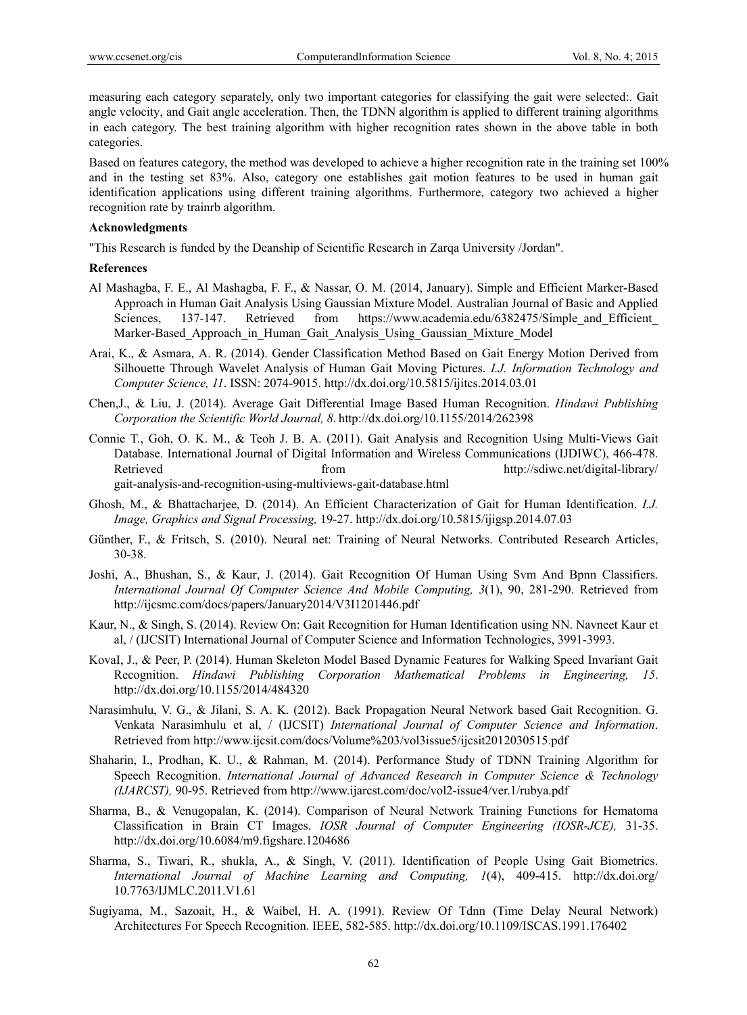measuring each category separately, only two important categories for classifying the gait were selected:. Gait angle velocity, and Gait angle acceleration. Then, the TDNN algorithm is applied to different training algorithms in each category. The best training algorithm with higher recognition rates shown in the above table in both categories.

Based on features category, the method was developed to achieve a higher recognition rate in the training set 100% and in the testing set 83%. Also, category one establishes gait motion features to be used in human gait identification applications using different training algorithms. Furthermore, category two achieved a higher recognition rate by trainrb algorithm.

#### **Acknowledgments**

"This Research is funded by the Deanship of Scientific Research in Zarqa University /Jordan".

#### **References**

- Al Mashagba, F. E., Al Mashagba, F. F., & Nassar, O. M. (2014, January). Simple and Efficient Marker-Based Approach in Human Gait Analysis Using Gaussian Mixture Model. Australian Journal of Basic and Applied Sciences, 137-147. Retrieved from https://www.academia.edu/6382475/Simple and Efficient Marker-Based Approach in Human Gait Analysis Using Gaussian Mixture Model
- Arai, K., & Asmara, A. R. (2014). Gender Classification Method Based on Gait Energy Motion Derived from Silhouette Through Wavelet Analysis of Human Gait Moving Pictures. *I.J. Information Technology and Computer Science, 11*. ISSN: 2074-9015. http://dx.doi.org/10.5815/ijitcs.2014.03.01
- Chen,J., & Liu, J. (2014). Average Gait Differential Image Based Human Recognition. *Hindawi Publishing Corporation the Scientific World Journal, 8*. http://dx.doi.org/10.1155/2014/262398
- Connie T., Goh, O. K. M., & Teoh J. B. A. (2011). Gait Analysis and Recognition Using Multi-Views Gait Database. International Journal of Digital Information and Wireless Communications (IJDIWC), 466-478. Retrieved from from http://sdiwc.net/digital-library/ gait-analysis-and-recognition-using-multiviews-gait-database.html
- Ghosh, M., & Bhattacharjee, D. (2014). An Efficient Characterization of Gait for Human Identification. *I.J. Image, Graphics and Signal Processing,* 19-27. http://dx.doi.org/10.5815/ijigsp.2014.07.03
- Günther, F., & Fritsch, S. (2010). Neural net: Training of Neural Networks. Contributed Research Articles, 30-38.
- Joshi, A., Bhushan, S., & Kaur, J. (2014). Gait Recognition Of Human Using Svm And Bpnn Classifiers. *International Journal Of Computer Science And Mobile Computing, 3*(1), 90, 281-290. Retrieved from http://ijcsmc.com/docs/papers/January2014/V3I1201446.pdf
- Kaur, N., & Singh, S. (2014). Review On: Gait Recognition for Human Identification using NN. Navneet Kaur et al, / (IJCSIT) International Journal of Computer Science and Information Technologies, 3991-3993.
- KovaI, J., & Peer, P. (2014). Human Skeleton Model Based Dynamic Features for Walking Speed Invariant Gait Recognition. *Hindawi Publishing Corporation Mathematical Problems in Engineering, 15*. http://dx.doi.org/10.1155/2014/484320
- Narasimhulu, V. G., & Jilani, S. A. K. (2012). Back Propagation Neural Network based Gait Recognition. G. Venkata Narasimhulu et al, / (IJCSIT) *International Journal of Computer Science and Information*. Retrieved from http://www.ijcsit.com/docs/Volume%203/vol3issue5/ijcsit2012030515.pdf
- Shaharin, I., Prodhan, K. U., & Rahman, M. (2014). Performance Study of TDNN Training Algorithm for Speech Recognition. *International Journal of Advanced Research in Computer Science & Technology (IJARCST),* 90-95. Retrieved from http://www.ijarcst.com/doc/vol2-issue4/ver.1/rubya.pdf
- Sharma, B., & Venugopalan, K. (2014). Comparison of Neural Network Training Functions for Hematoma Classification in Brain CT Images. *IOSR Journal of Computer Engineering (IOSR-JCE),* 31-35. http://dx.doi.org/10.6084/m9.figshare.1204686
- Sharma, S., Tiwari, R., shukla, A., & Singh, V. (2011). Identification of People Using Gait Biometrics. *International Journal of Machine Learning and Computing, 1*(4), 409-415. http://dx.doi.org/ 10.7763/IJMLC.2011.V1.61
- Sugiyama, M., Sazoait, H., & Waibel, H. A. (1991). Review Of Tdnn (Time Delay Neural Network) Architectures For Speech Recognition. IEEE, 582-585. http://dx.doi.org/10.1109/ISCAS.1991.176402